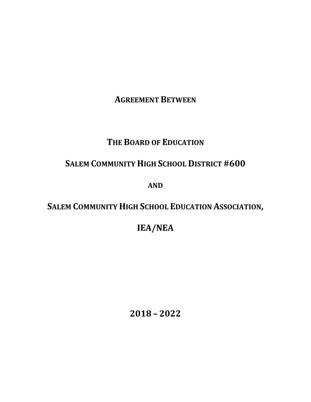**AGREEMENT BETWEEN**

# **THE BOARD OF EDUCATION**

# **SALEM COMMUNITY HIGH SCHOOL DISTRICT #600**

**AND**

# **SALEM COMMUNITY HIGH SCHOOL EDUCATION ASSOCIATION,**

# **IEA/NEA**

**2018 – 2022**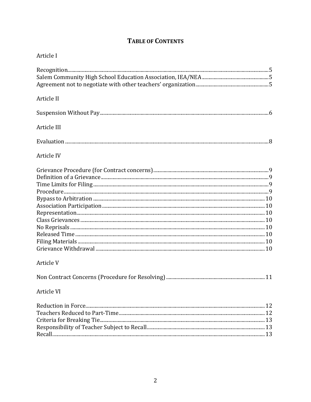# **TABLE OF CONTENTS**

| Article I   |    |
|-------------|----|
|             |    |
|             |    |
|             |    |
| Article II  |    |
|             |    |
| Article III |    |
|             |    |
| Article IV  |    |
|             |    |
|             |    |
|             |    |
|             |    |
|             |    |
|             |    |
|             |    |
|             |    |
|             |    |
|             |    |
|             |    |
|             |    |
| Article V   |    |
|             | 11 |
| Article VI  |    |
|             |    |
|             |    |
|             |    |
|             |    |
|             |    |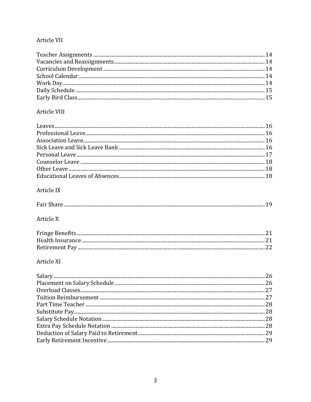## Article VII

## Article VIII

## Article IX

| Fair S |
|--------|
|--------|

# Article X

# Article XI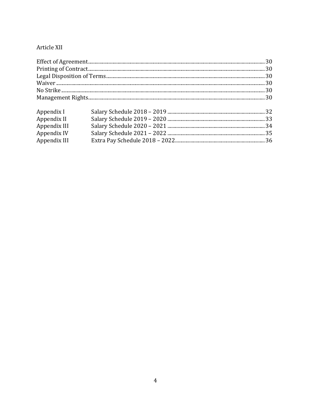# Article XII

| Appendix I   |  |  |  |  |  |  |
|--------------|--|--|--|--|--|--|
| Appendix II  |  |  |  |  |  |  |
| Appendix III |  |  |  |  |  |  |
| Appendix IV  |  |  |  |  |  |  |
| Appendix III |  |  |  |  |  |  |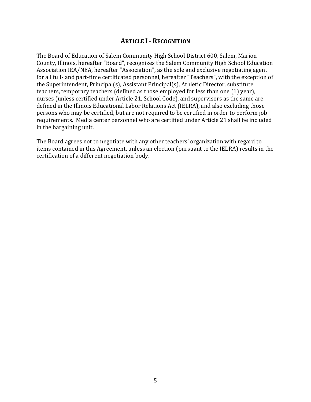## **ARTICLE I- RECOGNITION**

The Board of Education of Salem Community High School District 600, Salem, Marion County, Illinois, hereafter "Board", recognizes the Salem Community High School Education Association IEA/NEA, hereafter "Association", as the sole and exclusive negotiating agent for all full- and part-time certificated personnel, hereafter "Teachers", with the exception of the Superintendent, Principal(s), Assistant Principal(s), Athletic Director, substitute teachers, temporary teachers (defined as those employed for less than one (1) year), nurses (unless certified under Article 21, School Code), and supervisors as the same are defined in the Illinois Educational Labor Relations Act (IELRA), and also excluding those persons who may be certified, but are not required to be certified in order to perform job requirements. Media center personnel who are certified under Article 21 shall be included in the bargaining unit.

The Board agrees not to negotiate with any other teachers' organization with regard to items contained in this Agreement, unless an election (pursuant to the IELRA) results in the certification of a different negotiation body.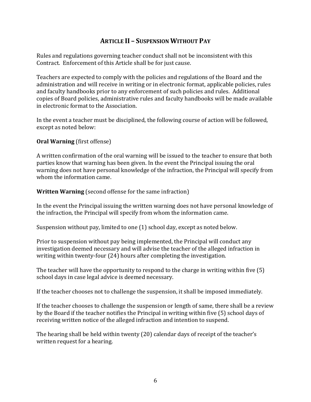# **ARTICLE II – SUSPENSION WITHOUT PAY**

Rules and regulations governing teacher conduct shall not be inconsistent with this Contract. Enforcement of this Article shall be for just cause.

Teachers are expected to comply with the policies and regulations of the Board and the administration and will receive in writing or in electronic format, applicable policies, rules and faculty handbooks prior to any enforcement of such policies and rules. Additional copies of Board policies, administrative rules and faculty handbooks will be made available in electronic format to the Association.

In the event a teacher must be disciplined, the following course of action will be followed, except as noted below:

**Oral Warning** (first offense)

A written confirmation of the oral warning will be issued to the teacher to ensure that both parties know that warning has been given. In the event the Principal issuing the oral warning does not have personal knowledge of the infraction, the Principal will specify from whom the information came.

**Written Warning** (second offense for the same infraction)

In the event the Principal issuing the written warning does not have personal knowledge of the infraction, the Principal will specify from whom the information came.

Suspension without pay, limited to one (1) school day, except as noted below.

Prior to suspension without pay being implemented, the Principal will conduct any investigation deemed necessary and will advise the teacher of the alleged infraction in writing within twenty-four (24) hours after completing the investigation.

The teacher will have the opportunity to respond to the charge in writing within five (5) school days in case legal advice is deemed necessary.

If the teacher chooses not to challenge the suspension, it shall be imposed immediately.

If the teacher chooses to challenge the suspension or length of same, there shall be a review by the Board if the teacher notifies the Principal in writing within five (5) school days of receiving written notice of the alleged infraction and intention to suspend.

The hearing shall be held within twenty (20) calendar days of receipt of the teacher's written request for a hearing.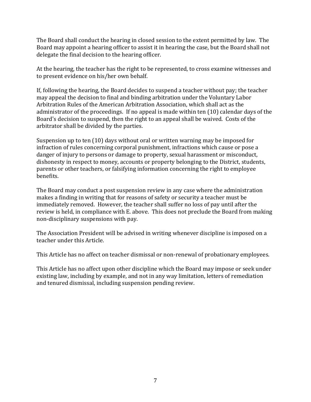The Board shall conduct the hearing in closed session to the extent permitted by law. The Board may appoint a hearing officer to assist it in hearing the case, but the Board shall not delegate the final decision to the hearing officer.

At the hearing, the teacher has the right to be represented, to cross examine witnesses and to present evidence on his/her own behalf.

If, following the hearing, the Board decides to suspend a teacher without pay; the teacher may appeal the decision to final and binding arbitration under the Voluntary Labor Arbitration Rules of the American Arbitration Association, which shall act as the administrator of the proceedings. If no appeal is made within ten (10) calendar days of the Board's decision to suspend, then the right to an appeal shall be waived. Costs of the arbitrator shall be divided by the parties.

Suspension up to ten (10) days without oral or written warning may be imposed for infraction of rules concerning corporal punishment, infractions which cause or pose a danger of injury to persons or damage to property, sexual harassment or misconduct, dishonesty in respect to money, accounts or property belonging to the District, students, parents or other teachers, or falsifying information concerning the right to employee benefits.

The Board may conduct a post suspension review in any case where the administration makes a finding in writing that for reasons of safety or security a teacher must be immediately removed. However, the teacher shall suffer no loss of pay until after the review is held, in compliance with E. above. This does not preclude the Board from making non-disciplinary suspensions with pay.

The Association President will be advised in writing whenever discipline is imposed on a teacher under this Article.

This Article has no affect on teacher dismissal or non-renewal of probationary employees.

This Article has no affect upon other discipline which the Board may impose or seek under existing law, including by example, and not in any way limitation, letters of remediation and tenured dismissal, including suspension pending review.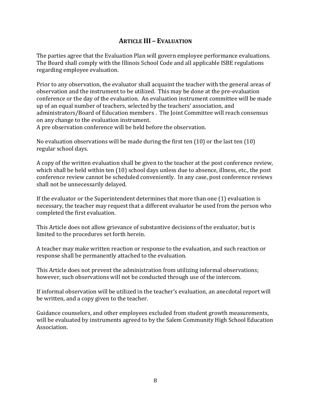# **ARTICLE III – EVALUATION**

The parties agree that the Evaluation Plan will govern employee performance evaluations. The Board shall comply with the Illinois School Code and all applicable ISBE regulations regarding employee evaluation.

Prior to any observation, the evaluator shall acquaint the teacher with the general areas of observation and the instrument to be utilized. This may be done at the pre-evaluation conference or the day of the evaluation. An evaluation instrument committee will be made up of an equal number of teachers, selected by the teachers' association, and administrators/Board of Education members . The Joint Committee will reach consensus on any change to the evaluation instrument.

A pre observation conference will be held before the observation.

No evaluation observations will be made during the first ten (10) or the last ten (10) regular school days.

A copy of the written evaluation shall be given to the teacher at the post conference review, which shall be held within ten (10) school days unless due to absence, illness, etc., the post conference review cannot be scheduled conveniently. In any case, post conference reviews shall not be unnecessarily delayed.

If the evaluator or the Superintendent determines that more than one (1) evaluation is necessary, the teacher may request that a different evaluator be used from the person who completed the first evaluation.

This Article does not allow grievance of substantive decisions of the evaluator, but is limited to the procedures set forth herein.

A teacher may make written reaction or response to the evaluation, and such reaction or response shall be permanently attached to the evaluation.

This Article does not prevent the administration from utilizing informal observations; however, such observations will not be conducted through use of the intercom.

If informal observation will be utilized in the teacher's evaluation, an anecdotal report will be written, and a copy given to the teacher.

Guidance counselors, and other employees excluded from student growth measurements, will be evaluated by instruments agreed to by the Salem Community High School Education Association.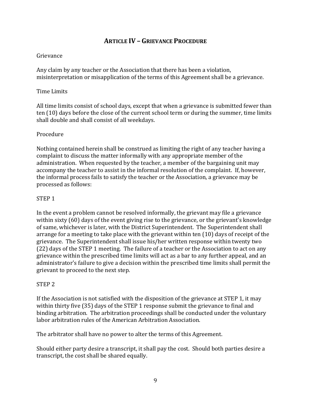# **ARTICLE IV – GRIEVANCE PROCEDURE**

#### Grievance

Any claim by any teacher or the Association that there has been a violation, misinterpretation or misapplication of the terms of this Agreement shall be a grievance.

#### Time Limits

All time limits consist of school days, except that when a grievance is submitted fewer than ten (10) days before the close of the current school term or during the summer, time limits shall double and shall consist of all weekdays.

#### Procedure

Nothing contained herein shall be construed as limiting the right of any teacher having a complaint to discuss the matter informally with any appropriate member of the administration. When requested by the teacher, a member of the bargaining unit may accompany the teacher to assist in the informal resolution of the complaint. If, however, the informal process fails to satisfy the teacher or the Association, a grievance may be processed as follows:

#### STEP 1

In the event a problem cannot be resolved informally, the grievant may file a grievance within sixty (60) days of the event giving rise to the grievance, or the grievant's knowledge of same, whichever is later, with the District Superintendent. The Superintendent shall arrange for a meeting to take place with the grievant within ten (10) days of receipt of the grievance. The Superintendent shall issue his/her written response within twenty two (22) days of the STEP 1 meeting. The failure of a teacher or the Association to act on any grievance within the prescribed time limits will act as a bar to any further appeal, and an administrator's failure to give a decision within the prescribed time limits shall permit the grievant to proceed to the next step.

#### STEP 2

If the Association is not satisfied with the disposition of the grievance at STEP 1, it may within thirty five (35) days of the STEP 1 response submit the grievance to final and binding arbitration. The arbitration proceedings shall be conducted under the voluntary labor arbitration rules of the American Arbitration Association.

The arbitrator shall have no power to alter the terms of this Agreement.

Should either party desire a transcript, it shall pay the cost. Should both parties desire a transcript, the cost shall be shared equally.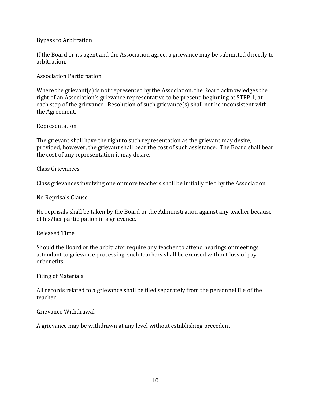#### Bypass to Arbitration

If the Board or its agent and the Association agree, a grievance may be submitted directly to arbitration.

#### Association Participation

Where the grievant(s) is not represented by the Association, the Board acknowledges the right of an Association's grievance representative to be present, beginning at STEP 1, at each step of the grievance. Resolution of such grievance(s) shall not be inconsistent with the Agreement.

#### Representation

The grievant shall have the right to such representation as the grievant may desire, provided, however, the grievant shall bear the cost of such assistance. The Board shall bear the cost of any representation it may desire.

Class Grievances

Class grievances involving one or more teachers shall be initially filed by the Association.

No Reprisals Clause

No reprisals shall be taken by the Board or the Administration against any teacher because of his/her participation in a grievance.

#### Released Time

Should the Board or the arbitrator require any teacher to attend hearings or meetings attendant to grievance processing, such teachers shall be excused without loss of pay orbenefits.

Filing of Materials

All records related to a grievance shall be filed separately from the personnel file of the teacher.

#### Grievance Withdrawal

A grievance may be withdrawn at any level without establishing precedent.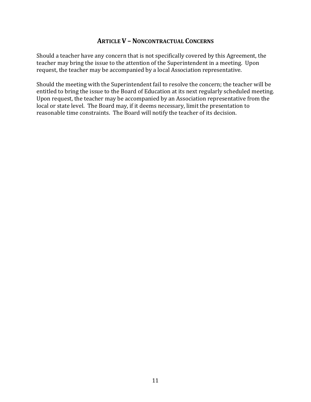## **ARTICLE V – NONCONTRACTUAL CONCERNS**

Should a teacher have any concern that is not specifically covered by this Agreement, the teacher may bring the issue to the attention of the Superintendent in a meeting. Upon request, the teacher may be accompanied by a local Association representative.

Should the meeting with the Superintendent fail to resolve the concern; the teacher will be entitled to bring the issue to the Board of Education at its next regularly scheduled meeting. Upon request, the teacher may be accompanied by an Association representative from the local or state level. The Board may, if it deems necessary, limit the presentation to reasonable time constraints. The Board will notify the teacher of its decision.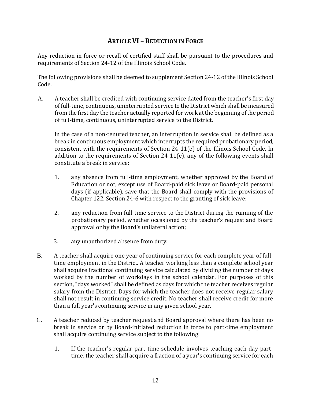# **ARTICLE VI – REDUCTION IN FORCE**

Any reduction in force or recall of certified staff shall be pursuant to the procedures and requirements of Section 24-12 of the Illinois School Code.

The following provisions shall be deemed to supplement Section 24-12 of the Illinois School Code.

A. A teacher shall be credited with continuing service dated from the teacher's first day of full-time, continuous, uninterrupted service to the District which shall be measured from the first day the teacher actually reported for work at the beginning of the period of full-time, continuous, uninterrupted service to the District.

In the case of a non-tenured teacher, an interruption in service shall be defined as a break in continuous employment which interrupts the required probationary period, consistent with the requirements of Section 24-11(e) of the Illinois School Code. In addition to the requirements of Section 24-11(e), any of the following events shall constitute a break in service:

- 1. any absence from full-time employment, whether approved by the Board of Education or not, except use of Board-paid sick leave or Board-paid personal days (if applicable), save that the Board shall comply with the provisions of Chapter 122, Section 24-6 with respect to the granting of sick leave;
- 2. any reduction from full-time service to the District during the running of the probationary period, whether occasioned by the teacher's request and Board approval or by the Board's unilateral action;
- 3. any unauthorized absence from duty.
- B. A teacher shall acquire one year of continuing service for each complete year of fulltime employment in the District. A teacher working less than a complete school year shall acquire fractional continuing service calculated by dividing the number of days worked by the number of workdays in the school calendar. For purposes of this section, "days worked" shall be defined as days for which the teacher receives regular salary from the District. Days for which the teacher does not receive regular salary shall not result in continuing service credit. No teacher shall receive credit for more than a full year's continuing service in any given school year.
- C. A teacher reduced by teacher request and Board approval where there has been no break in service or by Board-initiated reduction in force to part-time employment shall acquire continuing service subject to the following:
	- 1. If the teacher's regular part-time schedule involves teaching each day parttime, the teacher shall acquire a fraction of a year's continuing service for each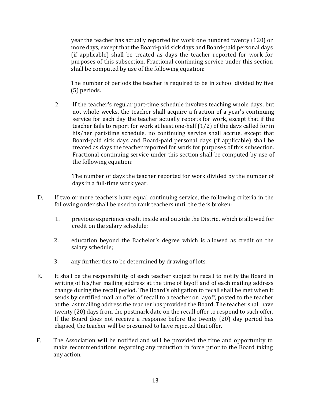year the teacher has actually reported for work one hundred twenty (120) or more days, except that the Board-paid sick days and Board-paid personal days (if applicable) shall be treated as days the teacher reported for work for purposes of this subsection. Fractional continuing service under this section shall be computed by use of the following equation:

The number of periods the teacher is required to be in school divided by five (5) periods.

2. If the teacher's regular part-time schedule involves teaching whole days, but not whole weeks, the teacher shall acquire a fraction of a year's continuing service for each day the teacher actually reports for work, except that if the teacher fails to report for work at least one-half (1/2) of the days called for in his/her part-time schedule, no continuing service shall accrue, except that Board-paid sick days and Board-paid personal days (if applicable) shall be treated as days the teacher reported for work for purposes of this subsection. Fractional continuing service under this section shall be computed by use of the following equation:

The number of days the teacher reported for work divided by the number of days in a full-time work year.

- D. If two or more teachers have equal continuing service, the following criteria in the following order shall be used to rank teachers until the tie is broken:
	- 1. previous experience credit inside and outside the District which is allowed for credit on the salary schedule;
	- 2. education beyond the Bachelor's degree which is allowed as credit on the salary schedule;
	- 3. any further ties to be determined by drawing of lots.
- E. It shall be the responsibility of each teacher subject to recall to notify the Board in writing of his/her mailing address at the time of layoff and of each mailing address change during the recall period. The Board's obligation to recall shall be met when it sends by certified mail an offer of recall to a teacher on layoff, posted to the teacher at the last mailing address the teacher has provided the Board. The teacher shall have twenty (20) days from the postmark date on the recall offer to respond to such offer. If the Board does not receive a response before the twenty (20) day period has elapsed, the teacher will be presumed to have rejected that offer.
- F. The Association will be notified and will be provided the time and opportunity to make recommendations regarding any reduction in force prior to the Board taking any action.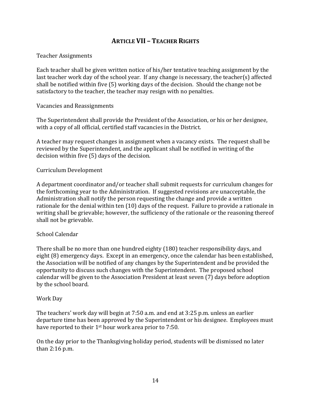# **ARTICLE VII – TEACHER RIGHTS**

#### Teacher Assignments

Each teacher shall be given written notice of his/her tentative teaching assignment by the last teacher work day of the school year. If any change is necessary, the teacher(s) affected shall be notified within five (5) working days of the decision. Should the change not be satisfactory to the teacher, the teacher may resign with no penalties.

#### Vacancies and Reassignments

The Superintendent shall provide the President of the Association, or his or her designee, with a copy of all official, certified staff vacancies in the District.

A teacher may request changes in assignment when a vacancy exists. The request shall be reviewed by the Superintendent, and the applicant shall be notified in writing of the decision within five (5) days of the decision.

#### Curriculum Development

A department coordinator and/or teacher shall submit requests for curriculum changes for the forthcoming year to the Administration. If suggested revisions are unacceptable, the Administration shall notify the person requesting the change and provide a written rationale for the denial within ten (10) days of the request. Failure to provide a rationale in writing shall be grievable; however, the sufficiency of the rationale or the reasoning thereof shall not be grievable.

#### School Calendar

There shall be no more than one hundred eighty (180) teacher responsibility days, and eight (8) emergency days. Except in an emergency, once the calendar has been established, the Association will be notified of any changes by the Superintendent and be provided the opportunity to discuss such changes with the Superintendent. The proposed school calendar will be given to the Association President at least seven (7) days before adoption by the school board.

#### Work Day

The teachers' work day will begin at 7:50 a.m. and end at 3:25 p.m. unless an earlier departure time has been approved by the Superintendent or his designee. Employees must have reported to their 1<sup>st</sup> hour work area prior to 7:50.

On the day prior to the Thanksgiving holiday period, students will be dismissed no later than 2:16 p.m.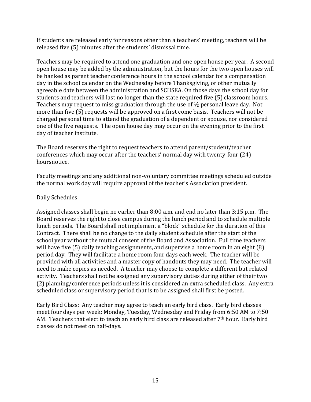If students are released early for reasons other than a teachers' meeting, teachers will be released five (5) minutes after the students' dismissal time.

Teachers may be required to attend one graduation and one open house per year. A second open house may be added by the administration, but the hours for the two open houses will be banked as parent teacher conference hours in the school calendar for a compensation day in the school calendar on the Wednesday before Thanksgiving, or other mutually agreeable date between the administration and SCHSEA. On those days the school day for students and teachers will last no longer than the state required five (5) classroom hours. Teachers may request to miss graduation through the use of ½ personal leave day. Not more than five (5) requests will be approved on a first come basis. Teachers will not be charged personal time to attend the graduation of a dependent or spouse, nor considered one of the five requests. The open house day may occur on the evening prior to the first day of teacher institute.

The Board reserves the right to request teachers to attend parent/student/teacher conferences which may occur after the teachers' normal day with twenty-four (24) hoursnotice.

Faculty meetings and any additional non-voluntary committee meetings scheduled outside the normal work day will require approval of the teacher's Association president.

## Daily Schedules

Assigned classes shall begin no earlier than 8:00 a.m. and end no later than 3:15 p.m. The Board reserves the right to close campus during the lunch period and to schedule multiple lunch periods. The Board shall not implement a "block" schedule for the duration of this Contract. There shall be no change to the daily student schedule after the start of the school year without the mutual consent of the Board and Association. Full time teachers will have five (5) daily teaching assignments, and supervise a home room in an eight (8) period day. They will facilitate a home room four days each week. The teacher will be provided with all activities and a master copy of handouts they may need. The teacher will need to make copies as needed. A teacher may choose to complete a different but related activity. Teachers shall not be assigned any supervisory duties during either of their two (2) planning/conference periods unless it is considered an extra scheduled class. Any extra scheduled class or supervisory period that is to be assigned shall first be posted.

Early Bird Class: Any teacher may agree to teach an early bird class. Early bird classes meet four days per week; Monday, Tuesday, Wednesday and Friday from 6:50 AM to 7:50 AM. Teachers that elect to teach an early bird class are released after 7<sup>th</sup> hour. Early bird classes do not meet on half-days.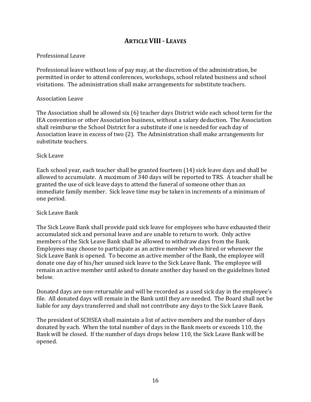# **ARTICLE VIII- LEAVES**

### Professional Leave

Professional leave without loss of pay may, at the discretion of the administration, be permitted in order to attend conferences, workshops, school related business and school visitations. The administration shall make arrangements for substitute teachers.

#### Association Leave

The Association shall be allowed six (6) teacher days District wide each school term for the IEA convention or other Association business, without a salary deduction. The Association shall reimburse the School District for a substitute if one is needed for each day of Association leave in excess of two (2). The Administration shall make arrangements for substitute teachers.

#### Sick Leave

Each school year, each teacher shall be granted fourteen (14) sick leave days and shall be allowed to accumulate. A maximum of 340 days will be reported to TRS. A teacher shall be granted the use of sick leave days to attend the funeral of someone other than an immediate family member. Sick leave time may be taken in increments of a minimum of one period.

#### Sick Leave Bank

The Sick Leave Bank shall provide paid sick leave for employees who have exhausted their accumulated sick and personal leave and are unable to return to work. Only active members of the Sick Leave Bank shall be allowed to withdraw days from the Bank. Employees may choose to participate as an active member when hired or whenever the Sick Leave Bank is opened. To become an active member of the Bank, the employee will donate one day of his/her unused sick leave to the Sick Leave Bank. The employee will remain an active member until asked to donate another day based on the guidelines listed below.

Donated days are non-returnable and will be recorded as a used sick day in the employee's file. All donated days will remain in the Bank until they are needed. The Board shall not be liable for any days transferred and shall not contribute any days to the Sick Leave Bank.

The president of SCHSEA shall maintain a list of active members and the number of days donated by each. When the total number of days in the Bank meets or exceeds 110, the Bank will be closed. If the number of days drops below 110, the Sick Leave Bank will be opened.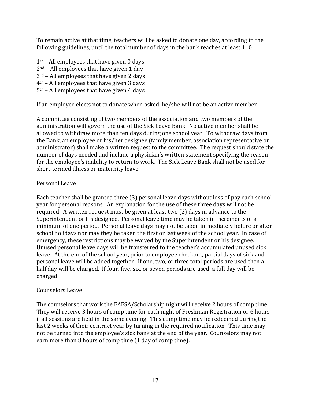To remain active at that time, teachers will be asked to donate one day, according to the following guidelines, until the total number of days in the bank reaches at least 110.

 $1<sup>st</sup>$  – All employees that have given 0 days  $2<sup>nd</sup>$  – All employees that have given 1 day 3rd – All employees that have given 2 days 4th – All employees that have given 3 days 5th – All employees that have given 4 days

If an employee elects not to donate when asked, he/she will not be an active member.

A committee consisting of two members of the association and two members of the administration will govern the use of the Sick Leave Bank. No active member shall be allowed to withdraw more than ten days during one school year. To withdraw days from the Bank, an employee or his/her designee (family member, association representative or administrator) shall make a written request to the committee. The request should state the number of days needed and include a physician's written statement specifying the reason for the employee's inability to return to work. The Sick Leave Bank shall not be used for short-termed illness or maternity leave.

## Personal Leave

Each teacher shall be granted three (3) personal leave days without loss of pay each school year for personal reasons. An explanation for the use of these three days will not be required. A written request must be given at least two (2) days in advance to the Superintendent or his designee. Personal leave time may be taken in increments of a minimum of one period. Personal leave days may not be taken immediately before or after school holidays nor may they be taken the first or last week of the school year. In case of emergency, these restrictions may be waived by the Superintendent or his designee. Unused personal leave days will be transferred to the teacher's accumulated unused sick leave. At the end of the school year, prior to employee checkout, partial days of sick and personal leave will be added together. If one, two, or three total periods are used then a half day will be charged. If four, five, six, or seven periods are used, a full day will be charged.

## Counselors Leave

The counselors that work the FAFSA/Scholarship night will receive 2 hours of comp time. They will receive 3 hours of comp time for each night of Freshman Registration or 6 hours if all sessions are held in the same evening. This comp time may be redeemed during the last 2 weeks of their contract year by turning in the required notification. This time may not be turned into the employee's sick bank at the end of the year. Counselors may not earn more than 8 hours of comp time (1 day of comp time).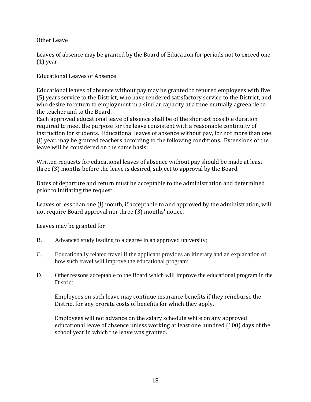Other Leave

Leaves of absence may be granted by the Board of Education for periods not to exceed one (1) year.

Educational Leaves of Absence

Educational leaves of absence without pay may be granted to tenured employees with five (5) years service to the District, who have rendered satisfactory service to the District, and who desire to return to employment in a similar capacity at a time mutually agreeable to the teacher and to the Board.

Each approved educational leave of absence shall be of the shortest possible duration required to meet the purpose for the leave consistent with a reasonable continuity of instruction for students. Educational leaves of absence without pay, for not more than one (l) year, may be granted teachers according to the following conditions. Extensions of the leave will be considered on the same basis:

Written requests for educational leaves of absence without pay should be made at least three (3) months before the leave is desired, subject to approval by the Board.

Dates of departure and return must be acceptable to the administration and determined prior to initiating the request.

Leaves of less than one (l) month, if acceptable to and approved by the administration, will not require Board approval nor three (3) months' notice.

Leaves may be granted for:

- B. Advanced study leading to a degree in an approved university;
- C. Educationally related travel if the applicant provides an itinerary and an explanation of how such travel will improve the educational program;
- D. Other reasons acceptable to the Board which will improve the educational program in the District.

Employees on such leave may continue insurance benefits if they reimburse the District for any prorata costs of benefits for which they apply.

Employees will not advance on the salary schedule while on any approved educational leave of absence unless working at least one hundred (100) days of the school year in which the leave was granted.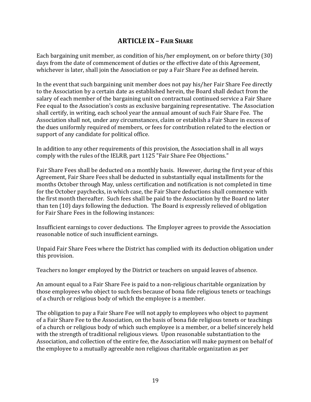# **ARTICLE IX – FAIR SHARE**

Each bargaining unit member, as condition of his/her employment, on or before thirty (30) days from the date of commencement of duties or the effective date of this Agreement, whichever is later, shall join the Association or pay a Fair Share Fee as defined herein.

In the event that such bargaining unit member does not pay his/her Fair Share Fee directly to the Association by a certain date as established herein, the Board shall deduct from the salary of each member of the bargaining unit on contractual continued service a Fair Share Fee equal to the Association's costs as exclusive bargaining representative. The Association shall certify, in writing, each school year the annual amount of such Fair Share Fee. The Association shall not, under any circumstances, claim or establish a Fair Share in excess of the dues uniformly required of members, or fees for contribution related to the election or support of any candidate for political office.

In addition to any other requirements of this provision, the Association shall in all ways comply with the rules of the IELRB, part 1125 "Fair Share Fee Objections."

Fair Share Fees shall be deducted on a monthly basis. However, during the first year of this Agreement, Fair Share Fees shall be deducted in substantially equal installments for the months October through May, unless certification and notification is not completed in time for the October paychecks, in which case, the Fair Share deductions shall commence with the first month thereafter. Such fees shall be paid to the Association by the Board no later than ten (10) days following the deduction. The Board is expressly relieved of obligation for Fair Share Fees in the following instances:

Insufficient earnings to cover deductions. The Employer agrees to provide the Association reasonable notice of such insufficient earnings.

Unpaid Fair Share Fees where the District has complied with its deduction obligation under this provision.

Teachers no longer employed by the District or teachers on unpaid leaves of absence.

An amount equal to a Fair Share Fee is paid to a non-religious charitable organization by those employees who object to such fees because of bona fide religious tenets or teachings of a church or religious body of which the employee is a member.

The obligation to pay a Fair Share Fee will not apply to employees who object to payment of a Fair Share Fee to the Association, on the basis of bona fide religious tenets or teachings of a church or religious body of which such employee is a member, or a belief sincerely held with the strength of traditional religious views. Upon reasonable substantiation to the Association, and collection of the entire fee, the Association will make payment on behalf of the employee to a mutually agreeable non religious charitable organization as per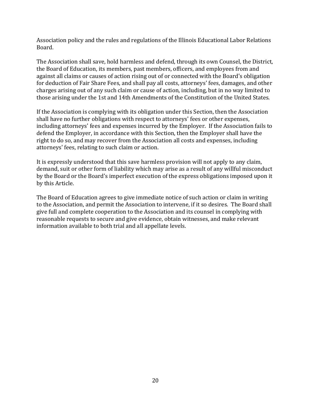Association policy and the rules and regulations of the Illinois Educational Labor Relations Board.

The Association shall save, hold harmless and defend, through its own Counsel, the District, the Board of Education, its members, past members, officers, and employees from and against all claims or causes of action rising out of or connected with the Board's obligation for deduction of Fair Share Fees, and shall pay all costs, attorneys' fees, damages, and other charges arising out of any such claim or cause of action, including, but in no way limited to those arising under the 1st and 14th Amendments of the Constitution of the United States.

If the Association is complying with its obligation under this Section, then the Association shall have no further obligations with respect to attorneys' fees or other expenses, including attorneys' fees and expenses incurred by the Employer. If the Association fails to defend the Employer, in accordance with this Section, then the Employer shall have the right to do so, and may recover from the Association all costs and expenses, including attorneys' fees, relating to such claim or action.

It is expressly understood that this save harmless provision will not apply to any claim, demand, suit or other form of liability which may arise as a result of any willful misconduct by the Board or the Board's imperfect execution of the express obligations imposed upon it by this Article.

The Board of Education agrees to give immediate notice of such action or claim in writing to the Association, and permit the Association to intervene, if it so desires. The Board shall give full and complete cooperation to the Association and its counsel in complying with reasonable requests to secure and give evidence, obtain witnesses, and make relevant information available to both trial and all appellate levels.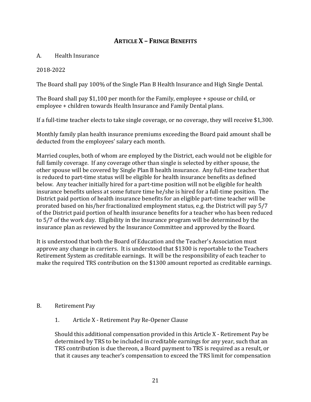# **ARTICLE X – FRINGE BENEFITS**

### A. Health Insurance

### 2018-2022

The Board shall pay 100% of the Single Plan B Health Insurance and High Single Dental.

The Board shall pay \$1,100 per month for the Family, employee + spouse or child, or employee + children towards Health Insurance and Family Dental plans.

If a full-time teacher elects to take single coverage, or no coverage, they will receive \$1,300.

Monthly family plan health insurance premiums exceeding the Board paid amount shall be deducted from the employees' salary each month.

Married couples, both of whom are employed by the District, each would not be eligible for full family coverage. If any coverage other than single is selected by either spouse, the other spouse will be covered by Single Plan B health insurance. Any full-time teacher that is reduced to part-time status will be eligible for health insurance benefits as defined below. Any teacher initially hired for a part-time position will not be eligible for health insurance benefits unless at some future time he/she is hired for a full-time position. The District paid portion of health insurance benefits for an eligible part-time teacher will be prorated based on his/her fractionalized employment status, e.g. the District will pay 5/7 of the District paid portion of health insurance benefits for a teacher who has been reduced to 5/7 of the work day. Eligibility in the insurance program will be determined by the insurance plan as reviewed by the Insurance Committee and approved by the Board.

It is understood that both the Board of Education and the Teacher's Association must approve any change in carriers. It is understood that \$1300 is reportable to the Teachers Retirement System as creditable earnings. It will be the responsibility of each teacher to make the required TRS contribution on the \$1300 amount reported as creditable earnings.

#### B. Retirement Pay

1. Article X - Retirement Pay Re-Opener Clause

Should this additional compensation provided in this Article X - Retirement Pay be determined by TRS to be included in creditable earnings for any year, such that an TRS contribution is due thereon, a Board payment to TRS is required as a result, or that it causes any teacher's compensation to exceed the TRS limit for compensation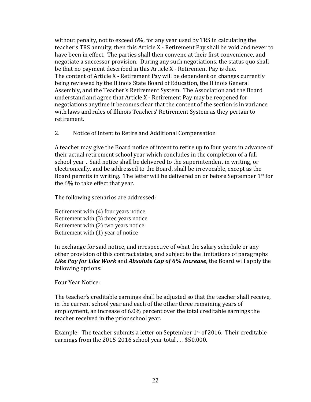without penalty, not to exceed 6%, for any year used by TRS in calculating the teacher's TRS annuity, then this Article X - Retirement Pay shall be void and never to have been in effect. The parties shall then convene at their first convenience, and negotiate a successor provision. During any such negotiations, the status quo shall be that no payment described in this Article X - Retirement Pay is due. The content of Article X - Retirement Pay will be dependent on changes currently being reviewed by the Illinois State Board of Education, the Illinois General Assembly, and the Teacher's Retirement System. The Association and the Board understand and agree that Article X - Retirement Pay may be reopened for negotiations anytime it becomes clear that the content of the section is in variance with laws and rules of Illinois Teachers' Retirement System as they pertain to retirement.

2. Notice of Intent to Retire and Additional Compensation

A teacher may give the Board notice of intent to retire up to four years in advance of their actual retirement school year which concludes in the completion of a full school year . Said notice shall be delivered to the superintendent in writing, or electronically, and be addressed to the Board, shall be irrevocable, except as the Board permits in writing. The letter will be delivered on or before September 1st for the 6% to take effect that year.

The following scenarios are addressed:

Retirement with (4) four years notice Retirement with (3) three years notice Retirement with (2) two years notice Retirement with (1) year of notice

In exchange for said notice, and irrespective of what the salary schedule or any other provision of this contract states, and subject to the limitations of paragraphs *Like Pay for Like Work* and *Absolute Cap of 6% Increase*, the Board will apply the following options:

#### Four Year Notice:

The teacher's creditable earnings shall be adjusted so that the teacher shall receive, in the current school year and each of the other three remaining years of employment, an increase of 6.0% percent over the total creditable earnings the teacher received in the prior school year.

Example: The teacher submits a letter on September  $1<sup>st</sup>$  of 2016. Their creditable earnings from the 2015-2016 school year total . . . \$50,000.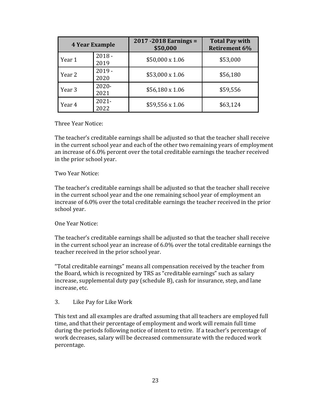|        | <b>4 Year Example</b> | $2017 - 2018$ Earnings =<br>\$50,000 | <b>Total Pay with</b><br><b>Retirement 6%</b> |  |  |
|--------|-----------------------|--------------------------------------|-----------------------------------------------|--|--|
| Year 1 | $2018 -$<br>2019      | $$50,000 \times 1.06$                | \$53,000                                      |  |  |
| Year 2 | $2019 -$<br>2020      | $$53,000 \times 1.06$                | \$56,180                                      |  |  |
| Year 3 | $2020 -$<br>2021      | \$56,180 x 1.06                      | \$59,556                                      |  |  |
| Year 4 | $2021 -$<br>2022      | $$59,556 \times 1.06$                | \$63,124                                      |  |  |

#### Three Year Notice:

The teacher's creditable earnings shall be adjusted so that the teacher shall receive in the current school year and each of the other two remaining years of employment an increase of 6.0% percent over the total creditable earnings the teacher received in the prior school year.

#### Two Year Notice:

The teacher's creditable earnings shall be adjusted so that the teacher shall receive in the current school year and the one remaining school year of employment an increase of 6.0% over the total creditable earnings the teacher received in the prior school year.

#### One Year Notice:

The teacher's creditable earnings shall be adjusted so that the teacher shall receive in the current school year an increase of 6.0% over the total creditable earnings the teacher received in the prior school year.

"Total creditable earnings" means all compensation received by the teacher from the Board, which is recognized by TRS as "creditable earnings" such as salary increase, supplemental duty pay (schedule B), cash for insurance, step, and lane increase, etc.

#### 3. Like Pay for Like Work

This text and all examples are drafted assuming that all teachers are employed full time, and that their percentage of employment and work will remain full time during the periods following notice of intent to retire. If a teacher's percentage of work decreases, salary will be decreased commensurate with the reduced work percentage.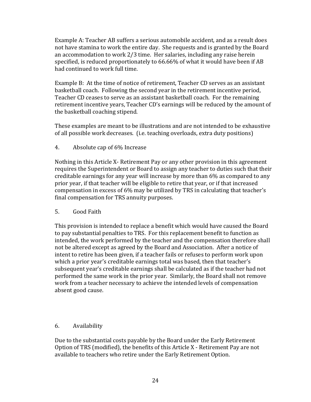Example A: Teacher AB suffers a serious automobile accident, and as a result does not have stamina to work the entire day. She requests and is granted by the Board an accommodation to work 2/3 time. Her salaries, including any raise herein specified, is reduced proportionately to 66.66% of what it would have been if AB had continued to work full time.

Example B: At the time of notice of retirement, Teacher CD serves as an assistant basketball coach. Following the second year in the retirement incentive period, Teacher CD ceases to serve as an assistant basketball coach. For the remaining retirement incentive years, Teacher CD's earnings will be reduced by the amount of the basketball coaching stipend.

These examples are meant to be illustrations and are not intended to be exhaustive of all possible work decreases. (i.e. teaching overloads, extra duty positions)

4. Absolute cap of 6% Increase

Nothing in this Article X- Retirement Pay or any other provision in this agreement requires the Superintendent or Board to assign any teacher to duties such that their creditable earnings for any year will increase by more than 6% as compared to any prior year, if that teacher will be eligible to retire that year, or if that increased compensation in excess of 6% may be utilized by TRS in calculating that teacher's final compensation for TRS annuity purposes.

#### 5. Good Faith

This provision is intended to replace a benefit which would have caused the Board to pay substantial penalties to TRS. For this replacement benefit to function as intended, the work performed by the teacher and the compensation therefore shall not be altered except as agreed by the Board and Association. After a notice of intent to retire has been given, if a teacher fails or refuses to perform work upon which a prior year's creditable earnings total was based, then that teacher's subsequent year's creditable earnings shall be calculated as if the teacher had not performed the same work in the prior year. Similarly, the Board shall not remove work from a teacher necessary to achieve the intended levels of compensation absent good cause.

## 6. Availability

Due to the substantial costs payable by the Board under the Early Retirement Option of TRS (modified), the benefits of this Article X - Retirement Pay are not available to teachers who retire under the Early Retirement Option.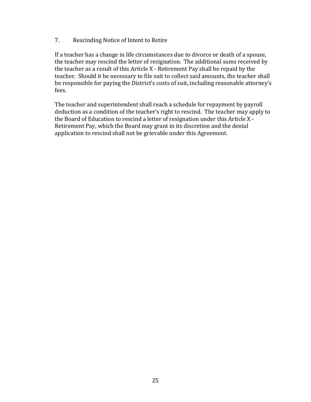### 7. Rescinding Notice of Intent to Retire

If a teacher has a change in life circumstances due to divorce or death of a spouse, the teacher may rescind the letter of resignation. The additional sums received by the teacher as a result of this Article X - Retirement Pay shall be repaid by the teacher. Should it be necessary to file suit to collect said amounts, the teacher shall be responsible for paying the District's costs of suit, including reasonable attorney's fees.

The teacher and superintendent shall reach a schedule for repayment by payroll deduction as a condition of the teacher's right to rescind. The teacher may apply to the Board of Education to rescind a letter of resignation under this Article X - Retirement Pay, which the Board may grant in its discretion and the denial application to rescind shall not be grievable under this Agreement.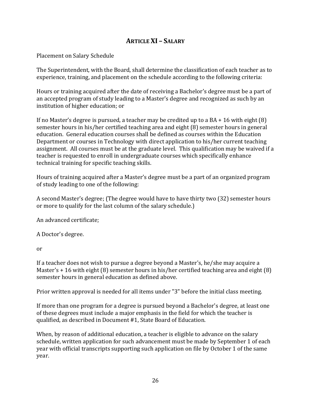# **ARTICLE XI – SALARY**

Placement on Salary Schedule

The Superintendent, with the Board, shall determine the classification of each teacher as to experience, training, and placement on the schedule according to the following criteria:

Hours or training acquired after the date of receiving a Bachelor's degree must be a part of an accepted program of study leading to a Master's degree and recognized as such by an institution of higher education; or

If no Master's degree is pursued, a teacher may be credited up to a BA + 16 with eight (8) semester hours in his/her certified teaching area and eight (8) semester hours in general education. General education courses shall be defined as courses within the Education Department or courses in Technology with direct application to his/her current teaching assignment. All courses must be at the graduate level. This qualification may be waived if a teacher is requested to enroll in undergraduate courses which specifically enhance technical training for specific teaching skills.

Hours of training acquired after a Master's degree must be a part of an organized program of study leading to one of the following:

A second Master's degree; (The degree would have to have thirty two (32) semester hours or more to qualify for the last column of the salary schedule.)

An advanced certificate;

A Doctor's degree.

or

If a teacher does not wish to pursue a degree beyond a Master's, he/she may acquire a Master's + 16 with eight (8) semester hours in his/her certified teaching area and eight (8) semester hours in general education as defined above.

Prior written approval is needed for all items under "3" before the initial class meeting.

If more than one program for a degree is pursued beyond a Bachelor's degree, at least one of these degrees must include a major emphasis in the field for which the teacher is qualified, as described in Document #1, State Board of Education.

When, by reason of additional education, a teacher is eligible to advance on the salary schedule, written application for such advancement must be made by September 1 of each year with official transcripts supporting such application on file by October 1 of the same year.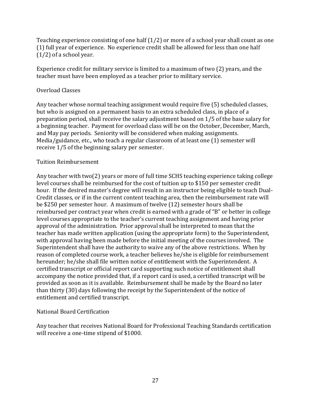Teaching experience consisting of one half (1/2) or more of a school year shall count as one (1) full year of experience. No experience credit shall be allowed for less than one half (1/2) of a school year.

Experience credit for military service is limited to a maximum of two (2) years, and the teacher must have been employed as a teacher prior to military service.

## Overload Classes

Any teacher whose normal teaching assignment would require five (5) scheduled classes, but who is assigned on a permanent basis to an extra scheduled class, in place of a preparation period, shall receive the salary adjustment based on 1/5 of the base salary for a beginning teacher. Payment for overload class will be on the October, December, March, and May pay periods. Seniority will be considered when making assignments. Media/guidance, etc., who teach a regular classroom of at least one (1) semester will receive 1/5 of the beginning salary per semester.

## Tuition Reimbursement

Any teacher with two(2) years or more of full time SCHS teaching experience taking college level courses shall be reimbursed for the cost of tuition up to \$150 per semester credit hour. If the desired master's degree will result in an instructor being eligible to teach Dual-Credit classes, or if in the current content teaching area, then the reimbursement rate will be \$250 per semester hour. A maximum of twelve (12) semester hours shall be reimbursed per contract year when credit is earned with a grade of "B" or better in college level courses appropriate to the teacher's current teaching assignment and having prior approval of the administration. Prior approval shall be interpreted to mean that the teacher has made written application (using the appropriate form) to the Superintendent, with approval having been made before the initial meeting of the courses involved. The Superintendent shall have the authority to waive any of the above restrictions. When by reason of completed course work, a teacher believes he/she is eligible for reimbursement hereunder; he/she shall file written notice of entitlement with the Superintendent. A certified transcript or official report card supporting such notice of entitlement shall accompany the notice provided that, if a report card is used, a certified transcript will be provided as soon as it is available. Reimbursement shall be made by the Board no later than thirty (30) days following the receipt by the Superintendent of the notice of entitlement and certified transcript.

## National Board Certification

Any teacher that receives National Board for Professional Teaching Standards certification will receive a one-time stipend of \$1000.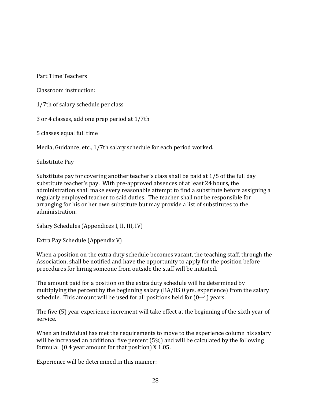Part Time Teachers

Classroom instruction:

1/7th of salary schedule per class

3 or 4 classes, add one prep period at 1/7th

5 classes equal full time

Media, Guidance, etc., 1/7th salary schedule for each period worked.

Substitute Pay

Substitute pay for covering another teacher's class shall be paid at 1/5 of the full day substitute teacher's pay. With pre-approved absences of at least 24 hours, the administration shall make every reasonable attempt to find a substitute before assigning a regularly employed teacher to said duties. The teacher shall not be responsible for arranging for his or her own substitute but may provide a list of substitutes to the administration.

Salary Schedules (Appendices I, II, III, IV)

Extra Pay Schedule (Appendix V)

When a position on the extra duty schedule becomes vacant, the teaching staff, through the Association, shall be notified and have the opportunity to apply for the position before procedures for hiring someone from outside the staff will be initiated.

The amount paid for a position on the extra duty schedule will be determined by multiplying the percent by the beginning salary (BA/BS 0 yrs. experience) from the salary schedule. This amount will be used for all positions held for (0--4) years.

The five (5) year experience increment will take effect at the beginning of the sixth year of service.

When an individual has met the requirements to move to the experience column his salary will be increased an additional five percent (5%) and will be calculated by the following formula: (0 4 year amount for that position) X 1.05.

Experience will be determined in this manner: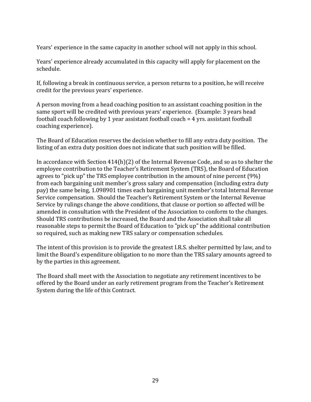Years' experience in the same capacity in another school will not apply in this school.

Years' experience already accumulated in this capacity will apply for placement on the schedule.

If, following a break in continuous service, a person returns to a position, he will receive credit for the previous years' experience.

A person moving from a head coaching position to an assistant coaching position in the same sport will be credited with previous years' experience. (Example: 3 years head football coach following by 1 year assistant football coach = 4 yrs. assistant football coaching experience).

The Board of Education reserves the decision whether to fill any extra duty position. The listing of an extra duty position does not indicate that such position will be filled.

In accordance with Section 414(h)(2) of the Internal Revenue Code, and so as to shelter the employee contribution to the Teacher's Retirement System (TRS), the Board of Education agrees to "pick up" the TRS employee contribution in the amount of nine percent (9%) from each bargaining unit member's gross salary and compensation (including extra duty pay) the same being, 1.098901 times each bargaining unit member's total Internal Revenue Service compensation. Should the Teacher's Retirement System or the Internal Revenue Service by rulings change the above conditions, that clause or portion so affected will be amended in consultation with the President of the Association to conform to the changes. Should TRS contributions be increased, the Board and the Association shall take all reasonable steps to permit the Board of Education to "pick up" the additional contribution so required, such as making new TRS salary or compensation schedules.

The intent of this provision is to provide the greatest I.R.S. shelter permitted by law, and to limit the Board's expenditure obligation to no more than the TRS salary amounts agreed to by the parties in this agreement.

The Board shall meet with the Association to negotiate any retirement incentives to be offered by the Board under an early retirement program from the Teacher's Retirement System during the life of this Contract.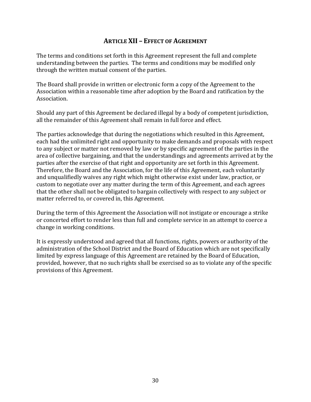## **ARTICLE XII – EFFECT OF AGREEMENT**

The terms and conditions set forth in this Agreement represent the full and complete understanding between the parties. The terms and conditions may be modified only through the written mutual consent of the parties.

The Board shall provide in written or electronic form a copy of the Agreement to the Association within a reasonable time after adoption by the Board and ratification by the Association.

Should any part of this Agreement be declared illegal by a body of competent jurisdiction, all the remainder of this Agreement shall remain in full force and effect.

The parties acknowledge that during the negotiations which resulted in this Agreement, each had the unlimited right and opportunity to make demands and proposals with respect to any subject or matter not removed by law or by specific agreement of the parties in the area of collective bargaining, and that the understandings and agreements arrived at by the parties after the exercise of that right and opportunity are set forth in this Agreement. Therefore, the Board and the Association, for the life of this Agreement, each voluntarily and unqualifiedly waives any right which might otherwise exist under law, practice, or custom to negotiate over any matter during the term of this Agreement, and each agrees that the other shall not be obligated to bargain collectively with respect to any subject or matter referred to, or covered in, this Agreement.

During the term of this Agreement the Association will not instigate or encourage a strike or concerted effort to render less than full and complete service in an attempt to coerce a change in working conditions.

It is expressly understood and agreed that all functions, rights, powers or authority of the administration of the School District and the Board of Education which are not specifically limited by express language of this Agreement are retained by the Board of Education, provided, however, that no such rights shall be exercised so as to violate any of the specific provisions of this Agreement.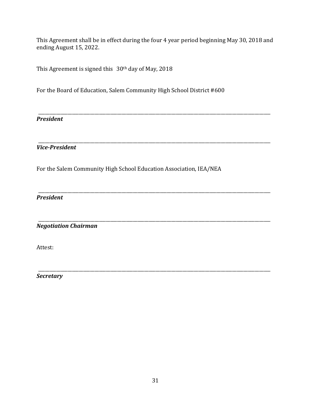This Agreement shall be in effect during the four 4 year period beginning May 30, 2018 and ending August 15, 2022.

\_\_\_\_\_\_\_\_\_\_\_\_\_\_\_\_\_\_\_\_\_\_\_\_\_\_\_\_\_\_\_\_\_\_\_\_\_\_\_\_\_\_\_\_\_\_\_\_\_\_\_\_\_\_\_\_\_\_\_\_\_\_\_\_\_\_\_\_\_\_\_\_\_\_\_\_\_\_\_\_\_\_\_\_\_\_\_\_\_\_\_\_\_\_\_\_\_\_\_\_\_\_\_

\_\_\_\_\_\_\_\_\_\_\_\_\_\_\_\_\_\_\_\_\_\_\_\_\_\_\_\_\_\_\_\_\_\_\_\_\_\_\_\_\_\_\_\_\_\_\_\_\_\_\_\_\_\_\_\_\_\_\_\_\_\_\_\_\_\_\_\_\_\_\_\_\_\_\_\_\_\_\_\_\_\_\_\_\_\_\_\_\_\_\_\_\_\_\_\_\_\_\_\_\_\_\_

\_\_\_\_\_\_\_\_\_\_\_\_\_\_\_\_\_\_\_\_\_\_\_\_\_\_\_\_\_\_\_\_\_\_\_\_\_\_\_\_\_\_\_\_\_\_\_\_\_\_\_\_\_\_\_\_\_\_\_\_\_\_\_\_\_\_\_\_\_\_\_\_\_\_\_\_\_\_\_\_\_\_\_\_\_\_\_\_\_\_\_\_\_\_\_\_\_\_\_\_\_\_\_

\_\_\_\_\_\_\_\_\_\_\_\_\_\_\_\_\_\_\_\_\_\_\_\_\_\_\_\_\_\_\_\_\_\_\_\_\_\_\_\_\_\_\_\_\_\_\_\_\_\_\_\_\_\_\_\_\_\_\_\_\_\_\_\_\_\_\_\_\_\_\_\_\_\_\_\_\_\_\_\_\_\_\_\_\_\_\_\_\_\_\_\_\_\_\_\_\_\_\_\_\_\_\_

This Agreement is signed this 30th day of May, 2018

For the Board of Education, Salem Community High School District #600

*President*

*Vice-President*

For the Salem Community High School Education Association, IEA/NEA

*President*

\_\_\_\_\_\_\_\_\_\_\_\_\_\_\_\_\_\_\_\_\_\_\_\_\_\_\_\_\_\_\_\_\_\_\_\_\_\_\_\_\_\_\_\_\_\_\_\_\_\_\_\_\_\_\_\_\_\_\_\_\_\_\_\_\_\_\_\_\_\_\_\_\_\_\_\_\_\_\_\_\_\_\_\_\_\_\_\_\_\_\_\_\_\_\_\_\_\_\_\_\_\_\_ *Negotiation Chairman*

Attest:

*Secretary*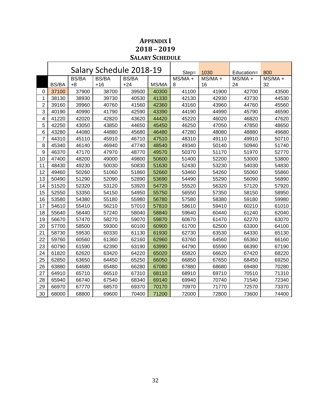|                |              |              | Salary Schedule 2018-19 |              |       | $Step =$  | 1030      | Education= | 800       |
|----------------|--------------|--------------|-------------------------|--------------|-------|-----------|-----------|------------|-----------|
|                |              | <b>BS/BA</b> | <b>BS/BA</b>            | <b>BS/BA</b> |       | $MS/MA +$ | $MS/MA +$ | $MS/MA +$  | $MS/MA +$ |
|                | <b>BS/BA</b> | $+8$         | $+16$                   | $+24$        | MS/MA | 8         | 16        | 24         | 32        |
| 0              | 37100        | 37900        | 38700                   | 39500        | 40300 | 41100     | 41900     | 42700      | 43500     |
| 1              | 38130        | 38930        | 39730                   | 40530        | 41330 | 42130     | 42930     | 43730      | 44530     |
| $\overline{2}$ | 39160        | 39960        | 40760                   | 41560        | 42360 | 43160     | 43960     | 44760      | 45560     |
| 3              | 40190        | 40990        | 41790                   | 42590        | 43390 | 44190     | 44990     | 45790      | 46590     |
| 4              | 41220        | 42020        | 42820                   | 43620        | 44420 | 45220     | 46020     | 46820      | 47620     |
| 5              | 42250        | 43050        | 43850                   | 44650        | 45450 | 46250     | 47050     | 47850      | 48650     |
| $\,6$          | 43280        | 44080        | 44880                   | 45680        | 46480 | 47280     | 48080     | 48880      | 49680     |
| $\overline{7}$ | 44310        | 45110        | 45910                   | 46710        | 47510 | 48310     | 49110     | 49910      | 50710     |
| 8              | 45340        | 46140        | 46940                   | 47740        | 48540 | 49340     | 50140     | 50940      | 51740     |
| 9              | 46370        | 47170        | 47970                   | 48770        | 49570 | 50370     | 51170     | 51970      | 52770     |
| 10             | 47400        | 48200        | 49000                   | 49800        | 50600 | 51400     | 52200     | 53000      | 53800     |
| 11             | 48430        | 49230        | 50030                   | 50830        | 51630 | 52430     | 53230     | 54030      | 54830     |
| 12             | 49460        | 50260        | 51060                   | 51860        | 52660 | 53460     | 54260     | 55060      | 55860     |
| 13             | 50490        | 51290        | 52090                   | 52890        | 53690 | 54490     | 55290     | 56090      | 56890     |
| 14             | 51520        | 52320        | 53120                   | 53920        | 54720 | 55520     | 56320     | 57120      | 57920     |
| 15             | 52550        | 53350        | 54150                   | 54950        | 55750 | 56550     | 57350     | 58150      | 58950     |
| 16             | 53580        | 54380        | 55180                   | 55980        | 56780 | 57580     | 58380     | 59180      | 59980     |
| 17             | 54610        | 55410        | 56210                   | 57010        | 57810 | 58610     | 59410     | 60210      | 61010     |
| 18             | 55640        | 56440        | 57240                   | 58040        | 58840 | 59640     | 60440     | 61240      | 62040     |
| 19             | 56670        | 57470        | 58270                   | 59070        | 59870 | 60670     | 61470     | 62270      | 63070     |
| 20             | 57700        | 58500        | 59300                   | 60100        | 60900 | 61700     | 62500     | 63300      | 64100     |
| 21             | 58730        | 59530        | 60330                   | 61130        | 61930 | 62730     | 63530     | 64330      | 65130     |
| 22             | 59760        | 60560        | 61360                   | 62160        | 62960 | 63760     | 64560     | 65360      | 66160     |
| 23             | 60790        | 61590        | 62390                   | 63190        | 63990 | 64790     | 65590     | 66390      | 67190     |
| 24             | 61820        | 62620        | 63420                   | 64220        | 65020 | 65820     | 66620     | 67420      | 68220     |
| 25             | 62850        | 63650        | 64450                   | 65250        | 66050 | 66850     | 67650     | 68450      | 69250     |
| 26             | 63880        | 64680        | 65480                   | 66280        | 67080 | 67880     | 68680     | 69480      | 70280     |
| 27             | 64910        | 65710        | 66510                   | 67310        | 68110 | 68910     | 69710     | 70510      | 71310     |
| 28             | 65940        | 66740        | 67540                   | 68340        | 69140 | 69940     | 70740     | 71540      | 72340     |
| 29             | 66970        | 67770        | 68570                   | 69370        | 70170 | 70970     | 71770     | 72570      | 73370     |
| 30             | 68000        | 68800        | 69600                   | 70400        | 71200 | 72000     | 72800     | 73600      | 74400     |

# **APPENDIX I – 2019 SALARY SCHEDULE**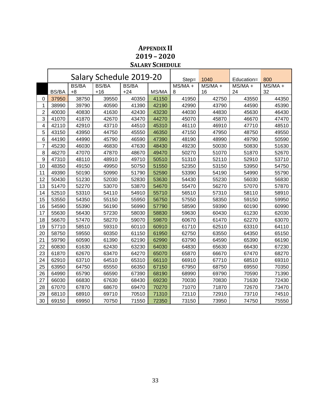# **APPENDIX II – 2020 SALARY SCHEDULE**

|                |              |              | Salary Schedule 2019-20 |              | Step= | 1040      | Education= | 800       |           |
|----------------|--------------|--------------|-------------------------|--------------|-------|-----------|------------|-----------|-----------|
|                |              | <b>BS/BA</b> | <b>BS/BA</b>            | <b>BS/BA</b> |       | $MS/MA +$ | $MS/MA +$  | $MS/MA +$ | $MS/MA +$ |
|                | <b>BS/BA</b> | $+8$         | $+16$                   | $+24$        | MS/MA | 8         | 16         | 24        | 32        |
| 0              | 37950        | 38750        | 39550                   | 40350        | 41150 | 41950     | 42750      | 43550     | 44350     |
| 1              | 38990        | 39790        | 40590                   | 41390        | 42190 | 42990     | 43790      | 44590     | 45390     |
| $\overline{c}$ | 40030        | 40830        | 41630                   | 42430        | 43230 | 44030     | 44830      | 45630     | 46430     |
| 3              | 41070        | 41870        | 42670                   | 43470        | 44270 | 45070     | 45870      | 46670     | 47470     |
| 4              | 42110        | 42910        | 43710                   | 44510        | 45310 | 46110     | 46910      | 47710     | 48510     |
| 5              | 43150        | 43950        | 44750                   | 45550        | 46350 | 47150     | 47950      | 48750     | 49550     |
| 6              | 44190        | 44990        | 45790                   | 46590        | 47390 | 48190     | 48990      | 49790     | 50590     |
| 7              | 45230        | 46030        | 46830                   | 47630        | 48430 | 49230     | 50030      | 50830     | 51630     |
| 8              | 46270        | 47070        | 47870                   | 48670        | 49470 | 50270     | 51070      | 51870     | 52670     |
| 9              | 47310        | 48110        | 48910                   | 49710        | 50510 | 51310     | 52110      | 52910     | 53710     |
| 10             | 48350        | 49150        | 49950                   | 50750        | 51550 | 52350     | 53150      | 53950     | 54750     |
| 11             | 49390        | 50190        | 50990                   | 51790        | 52590 | 53390     | 54190      | 54990     | 55790     |
| 12             | 50430        | 51230        | 52030                   | 52830        | 53630 | 54430     | 55230      | 56030     | 56830     |
| 13             | 51470        | 52270        | 53070                   | 53870        | 54670 | 55470     | 56270      | 57070     | 57870     |
| 14             | 52510        | 53310        | 54110                   | 54910        | 55710 | 56510     | 57310      | 58110     | 58910     |
| 15             | 53550        | 54350        | 55150                   | 55950        | 56750 | 57550     | 58350      | 59150     | 59950     |
| 16             | 54590        | 55390        | 56190                   | 56990        | 57790 | 58590     | 59390      | 60190     | 60990     |
| 17             | 55630        | 56430        | 57230                   | 58030        | 58830 | 59630     | 60430      | 61230     | 62030     |
| 18             | 56670        | 57470        | 58270                   | 59070        | 59870 | 60670     | 61470      | 62270     | 63070     |
| 19             | 57710        | 58510        | 59310                   | 60110        | 60910 | 61710     | 62510      | 63310     | 64110     |
| 20             | 58750        | 59550        | 60350                   | 61150        | 61950 | 62750     | 63550      | 64350     | 65150     |
| 21             | 59790        | 60590        | 61390                   | 62190        | 62990 | 63790     | 64590      | 65390     | 66190     |
| 22             | 60830        | 61630        | 62430                   | 63230        | 64030 | 64830     | 65630      | 66430     | 67230     |
| 23             | 61870        | 62670        | 63470                   | 64270        | 65070 | 65870     | 66670      | 67470     | 68270     |
| 24             | 62910        | 63710        | 64510                   | 65310        | 66110 | 66910     | 67710      | 68510     | 69310     |
| 25             | 63950        | 64750        | 65550                   | 66350        | 67150 | 67950     | 68750      | 69550     | 70350     |
| 26             | 64990        | 65790        | 66590                   | 67390        | 68190 | 68990     | 69790      | 70590     | 71390     |
| 27             | 66030        | 66830        | 67630                   | 68430        | 69230 | 70030     | 70830      | 71630     | 72430     |
| 28             | 67070        | 67870        | 68670                   | 69470        | 70270 | 71070     | 71870      | 72670     | 73470     |
| 29             | 68110        | 68910        | 69710                   | 70510        | 71310 | 72110     | 72910      | 73710     | 74510     |
| 30             | 69150        | 69950        | 70750                   | 71550        | 72350 | 73150     | 73950      | 74750     | 75550     |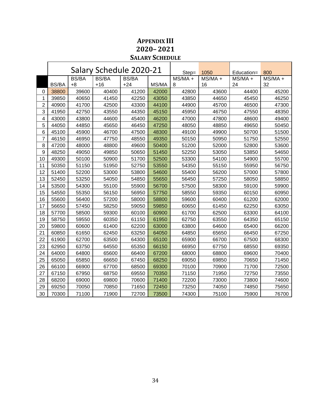# **APPENDIX III – 2021 SALARY SCHEDULE**

|                |              |              | Salary Schedule 2020-21 |              | Step= | 1050                               | Education= | 800       |           |
|----------------|--------------|--------------|-------------------------|--------------|-------|------------------------------------|------------|-----------|-----------|
|                |              | <b>BS/BA</b> | <b>BS/BA</b>            | <b>BS/BA</b> |       | $\overline{\text{MS}}/\text{MA}$ + | $MS/MA +$  | $MS/MA +$ | $MS/MA +$ |
|                | <b>BS/BA</b> | $+8$         | $+16$                   | $+24$        | MS/MA | 8                                  | 16         | 24        | 32        |
| 0              | 38800        | 39600        | 40400                   | 41200        | 42000 | 42800                              | 43600      | 44400     | 45200     |
| 1              | 39850        | 40650        | 41450                   | 42250        | 43050 | 43850                              | 44650      | 45450     | 46250     |
| $\overline{c}$ | 40900        | 41700        | 42500                   | 43300        | 44100 | 44900                              | 45700      | 46500     | 47300     |
| 3              | 41950        | 42750        | 43550                   | 44350        | 45150 | 45950                              | 46750      | 47550     | 48350     |
| 4              | 43000        | 43800        | 44600                   | 45400        | 46200 | 47000                              | 47800      | 48600     | 49400     |
| 5              | 44050        | 44850        | 45650                   | 46450        | 47250 | 48050                              | 48850      | 49650     | 50450     |
| 6              | 45100        | 45900        | 46700                   | 47500        | 48300 | 49100                              | 49900      | 50700     | 51500     |
| 7              | 46150        | 46950        | 47750                   | 48550        | 49350 | 50150                              | 50950      | 51750     | 52550     |
| 8              | 47200        | 48000        | 48800                   | 49600        | 50400 | 51200                              | 52000      | 52800     | 53600     |
| 9              | 48250        | 49050        | 49850                   | 50650        | 51450 | 52250                              | 53050      | 53850     | 54650     |
| 10             | 49300        | 50100        | 50900                   | 51700        | 52500 | 53300                              | 54100      | 54900     | 55700     |
| 11             | 50350        | 51150        | 51950                   | 52750        | 53550 | 54350                              | 55150      | 55950     | 56750     |
| 12             | 51400        | 52200        | 53000                   | 53800        | 54600 | 55400                              | 56200      | 57000     | 57800     |
| 13             | 52450        | 53250        | 54050                   | 54850        | 55650 | 56450                              | 57250      | 58050     | 58850     |
| 14             | 53500        | 54300        | 55100                   | 55900        | 56700 | 57500                              | 58300      | 59100     | 59900     |
| 15             | 54550        | 55350        | 56150                   | 56950        | 57750 | 58550                              | 59350      | 60150     | 60950     |
| 16             | 55600        | 56400        | 57200                   | 58000        | 58800 | 59600                              | 60400      | 61200     | 62000     |
| 17             | 56650        | 57450        | 58250                   | 59050        | 59850 | 60650                              | 61450      | 62250     | 63050     |
| 18             | 57700        | 58500        | 59300                   | 60100        | 60900 | 61700                              | 62500      | 63300     | 64100     |
| 19             | 58750        | 59550        | 60350                   | 61150        | 61950 | 62750                              | 63550      | 64350     | 65150     |
| 20             | 59800        | 60600        | 61400                   | 62200        | 63000 | 63800                              | 64600      | 65400     | 66200     |
| 21             | 60850        | 61650        | 62450                   | 63250        | 64050 | 64850                              | 65650      | 66450     | 67250     |
| 22             | 61900        | 62700        | 63500                   | 64300        | 65100 | 65900                              | 66700      | 67500     | 68300     |
| 23             | 62950        | 63750        | 64550                   | 65350        | 66150 | 66950                              | 67750      | 68550     | 69350     |
| 24             | 64000        | 64800        | 65600                   | 66400        | 67200 | 68000                              | 68800      | 69600     | 70400     |
| 25             | 65050        | 65850        | 66650                   | 67450        | 68250 | 69050                              | 69850      | 70650     | 71450     |
| 26             | 66100        | 66900        | 67700                   | 68500        | 69300 | 70100                              | 70900      | 71700     | 72500     |
| 27             | 67150        | 67950        | 68750                   | 69550        | 70350 | 71150                              | 71950      | 72750     | 73550     |
| 28             | 68200        | 69000        | 69800                   | 70600        | 71400 | 72200                              | 73000      | 73800     | 74600     |
| 29             | 69250        | 70050        | 70850                   | 71650        | 72450 | 73250                              | 74050      | 74850     | 75650     |
| 30             | 70300        | 71100        | 71900                   | 72700        | 73500 | 74300                              | 75100      | 75900     | 76700     |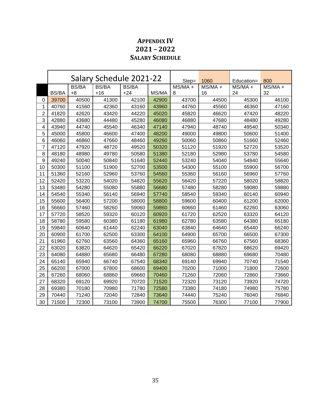# **APPENDIX IV – 2022 SALARY SCHEDULE**

|                |              |              | Salary Schedule 2021-22 |              | Step= | 1060      | Education= | 800     |           |
|----------------|--------------|--------------|-------------------------|--------------|-------|-----------|------------|---------|-----------|
|                |              | <b>BS/BA</b> | <b>BS/BA</b>            | <b>BS/BA</b> |       | $MS/MA +$ | $MS/MA +$  | MS/MA + | $MS/MA +$ |
|                | <b>BS/BA</b> | $+8$         | $+16$                   | $+24$        | MS/MA | 8         | 16         | 24      | 32        |
| 0              | 39700        | 40500        | 41300                   | 42100        | 42900 | 43700     | 44500      | 45300   | 46100     |
| 1              | 40760        | 41560        | 42360                   | 43160        | 43960 | 44760     | 45560      | 46360   | 47160     |
| $\overline{2}$ | 41820        | 42620        | 43420                   | 44220        | 45020 | 45820     | 46620      | 47420   | 48220     |
| 3              | 42880        | 43680        | 44480                   | 45280        | 46080 | 46880     | 47680      | 48480   | 49280     |
| 4              | 43940        | 44740        | 45540                   | 46340        | 47140 | 47940     | 48740      | 49540   | 50340     |
| 5              | 45000        | 45800        | 46600                   | 47400        | 48200 | 49000     | 49800      | 50600   | 51400     |
| 6              | 46060        | 46860        | 47660                   | 48460        | 49260 | 50060     | 50860      | 51660   | 52460     |
| $\overline{7}$ | 47120        | 47920        | 48720                   | 49520        | 50320 | 51120     | 51920      | 52720   | 53520     |
| 8              | 48180        | 48980        | 49780                   | 50580        | 51380 | 52180     | 52980      | 53780   | 54580     |
| 9              | 49240        | 50040        | 50840                   | 51640        | 52440 | 53240     | 54040      | 54840   | 55640     |
| 10             | 50300        | 51100        | 51900                   | 52700        | 53500 | 54300     | 55100      | 55900   | 56700     |
| 11             | 51360        | 52160        | 52960                   | 53760        | 54560 | 55360     | 56160      | 56960   | 57760     |
| 12             | 52420        | 53220        | 54020                   | 54820        | 55620 | 56420     | 57220      | 58020   | 58820     |
| 13             | 53480        | 54280        | 55080                   | 55880        | 56680 | 57480     | 58280      | 59080   | 59880     |
| 14             | 54540        | 55340        | 56140                   | 56940        | 57740 | 58540     | 59340      | 60140   | 60940     |
| 15             | 55600        | 56400        | 57200                   | 58000        | 58800 | 59600     | 60400      | 61200   | 62000     |
| 16             | 56660        | 57460        | 58260                   | 59060        | 59860 | 60660     | 61460      | 62260   | 63060     |
| 17             | 57720        | 58520        | 59320                   | 60120        | 60920 | 61720     | 62520      | 63320   | 64120     |
| 18             | 58780        | 59580        | 60380                   | 61180        | 61980 | 62780     | 63580      | 64380   | 65180     |
| 19             | 59840        | 60640        | 61440                   | 62240        | 63040 | 63840     | 64640      | 65440   | 66240     |
| 20             | 60900        | 61700        | 62500                   | 63300        | 64100 | 64900     | 65700      | 66500   | 67300     |
| 21             | 61960        | 62760        | 63560                   | 64360        | 65160 | 65960     | 66760      | 67560   | 68360     |
| 22             | 63020        | 63820        | 64620                   | 65420        | 66220 | 67020     | 67820      | 68620   | 69420     |
| 23             | 64080        | 64880        | 65680                   | 66480        | 67280 | 68080     | 68880      | 69680   | 70480     |
| 24             | 65140        | 65940        | 66740                   | 67540        | 68340 | 69140     | 69940      | 70740   | 71540     |
| 25             | 66200        | 67000        | 67800                   | 68600        | 69400 | 70200     | 71000      | 71800   | 72600     |
| 26             | 67260        | 68060        | 68860                   | 69660        | 70460 | 71260     | 72060      | 72860   | 73660     |
| 27             | 68320        | 69120        | 69920                   | 70720        | 71520 | 72320     | 73120      | 73920   | 74720     |
| 28             | 69380        | 70180        | 70980                   | 71780        | 72580 | 73380     | 74180      | 74980   | 75780     |
| 29             | 70440        | 71240        | 72040                   | 72840        | 73640 | 74440     | 75240      | 76040   | 76840     |
| 30             | 71500        | 72300        | 73100                   | 73900        | 74700 | 75500     | 76300      | 77100   | 77900     |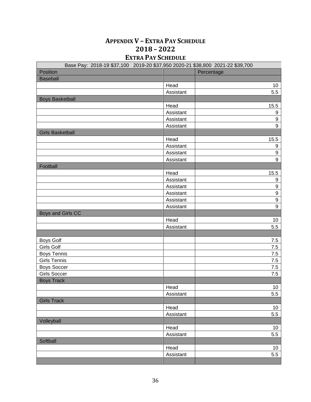# **APPENDIX V – EXTRA PAY SCHEDULE 2018 – 2022 EXTRA PAY SCHEDULE**

| Position<br>Percentage<br><b>Baseball</b><br>Head<br>10<br>5.5<br>Assistant<br><b>Boys Basketball</b><br>15.5<br>Head<br>$\boldsymbol{9}$<br>Assistant<br>$\boldsymbol{9}$<br>Assistant<br>$\overline{9}$<br>Assistant<br><b>Girls Basketball</b><br>15.5<br>Head<br>$\boldsymbol{9}$<br>Assistant<br>$\boldsymbol{9}$<br>Assistant<br>9<br>Assistant<br>Football<br>Head<br>15.5<br>$\boldsymbol{9}$<br>Assistant<br>$\boldsymbol{9}$<br>Assistant<br>$\boldsymbol{9}$<br>Assistant<br>9<br>Assistant<br>$\overline{9}$<br>Assistant<br>Boys and Girls CC<br>Head<br>10<br>5.5<br>Assistant<br><b>Boys Golf</b><br>7.5 |
|-------------------------------------------------------------------------------------------------------------------------------------------------------------------------------------------------------------------------------------------------------------------------------------------------------------------------------------------------------------------------------------------------------------------------------------------------------------------------------------------------------------------------------------------------------------------------------------------------------------------------|
|                                                                                                                                                                                                                                                                                                                                                                                                                                                                                                                                                                                                                         |
|                                                                                                                                                                                                                                                                                                                                                                                                                                                                                                                                                                                                                         |
|                                                                                                                                                                                                                                                                                                                                                                                                                                                                                                                                                                                                                         |
|                                                                                                                                                                                                                                                                                                                                                                                                                                                                                                                                                                                                                         |
|                                                                                                                                                                                                                                                                                                                                                                                                                                                                                                                                                                                                                         |
|                                                                                                                                                                                                                                                                                                                                                                                                                                                                                                                                                                                                                         |
|                                                                                                                                                                                                                                                                                                                                                                                                                                                                                                                                                                                                                         |
|                                                                                                                                                                                                                                                                                                                                                                                                                                                                                                                                                                                                                         |
|                                                                                                                                                                                                                                                                                                                                                                                                                                                                                                                                                                                                                         |
|                                                                                                                                                                                                                                                                                                                                                                                                                                                                                                                                                                                                                         |
|                                                                                                                                                                                                                                                                                                                                                                                                                                                                                                                                                                                                                         |
|                                                                                                                                                                                                                                                                                                                                                                                                                                                                                                                                                                                                                         |
|                                                                                                                                                                                                                                                                                                                                                                                                                                                                                                                                                                                                                         |
|                                                                                                                                                                                                                                                                                                                                                                                                                                                                                                                                                                                                                         |
|                                                                                                                                                                                                                                                                                                                                                                                                                                                                                                                                                                                                                         |
|                                                                                                                                                                                                                                                                                                                                                                                                                                                                                                                                                                                                                         |
|                                                                                                                                                                                                                                                                                                                                                                                                                                                                                                                                                                                                                         |
|                                                                                                                                                                                                                                                                                                                                                                                                                                                                                                                                                                                                                         |
|                                                                                                                                                                                                                                                                                                                                                                                                                                                                                                                                                                                                                         |
|                                                                                                                                                                                                                                                                                                                                                                                                                                                                                                                                                                                                                         |
|                                                                                                                                                                                                                                                                                                                                                                                                                                                                                                                                                                                                                         |
|                                                                                                                                                                                                                                                                                                                                                                                                                                                                                                                                                                                                                         |
|                                                                                                                                                                                                                                                                                                                                                                                                                                                                                                                                                                                                                         |
|                                                                                                                                                                                                                                                                                                                                                                                                                                                                                                                                                                                                                         |
|                                                                                                                                                                                                                                                                                                                                                                                                                                                                                                                                                                                                                         |
|                                                                                                                                                                                                                                                                                                                                                                                                                                                                                                                                                                                                                         |
| <b>Girls Golf</b><br>7.5                                                                                                                                                                                                                                                                                                                                                                                                                                                                                                                                                                                                |
| <b>Boys Tennis</b><br>7.5                                                                                                                                                                                                                                                                                                                                                                                                                                                                                                                                                                                               |
| <b>Girls Tennis</b><br>7.5                                                                                                                                                                                                                                                                                                                                                                                                                                                                                                                                                                                              |
| <b>Boys Soccer</b><br>7.5                                                                                                                                                                                                                                                                                                                                                                                                                                                                                                                                                                                               |
| <b>Girls Soccer</b><br>7.5                                                                                                                                                                                                                                                                                                                                                                                                                                                                                                                                                                                              |
| <b>Boys Track</b>                                                                                                                                                                                                                                                                                                                                                                                                                                                                                                                                                                                                       |
| 10<br>Head                                                                                                                                                                                                                                                                                                                                                                                                                                                                                                                                                                                                              |
| 5.5<br>Assistant                                                                                                                                                                                                                                                                                                                                                                                                                                                                                                                                                                                                        |
| <b>Girls Track</b>                                                                                                                                                                                                                                                                                                                                                                                                                                                                                                                                                                                                      |
| Head<br>10                                                                                                                                                                                                                                                                                                                                                                                                                                                                                                                                                                                                              |
| 5.5<br>Assistant                                                                                                                                                                                                                                                                                                                                                                                                                                                                                                                                                                                                        |
| Volleyball                                                                                                                                                                                                                                                                                                                                                                                                                                                                                                                                                                                                              |
| Head<br>10                                                                                                                                                                                                                                                                                                                                                                                                                                                                                                                                                                                                              |
| Assistant<br>5.5                                                                                                                                                                                                                                                                                                                                                                                                                                                                                                                                                                                                        |
| Softball                                                                                                                                                                                                                                                                                                                                                                                                                                                                                                                                                                                                                |
| Head<br>10                                                                                                                                                                                                                                                                                                                                                                                                                                                                                                                                                                                                              |
| Assistant<br>5.5                                                                                                                                                                                                                                                                                                                                                                                                                                                                                                                                                                                                        |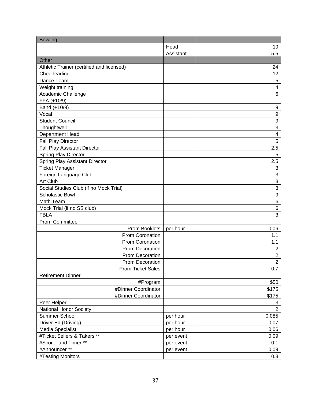| <b>Bowling</b>                            |           |                         |
|-------------------------------------------|-----------|-------------------------|
|                                           | Head      | 10                      |
|                                           | Assistant | 5.5                     |
| Other                                     |           |                         |
| Athletic Trainer (certified and licensed) |           | 24                      |
| Cheerleading                              |           | 12                      |
| Dance Team                                |           | $\mathbf 5$             |
| Weight training                           |           | 4                       |
| Academic Challenge                        |           | 6                       |
| FFA (+10/9)                               |           |                         |
| Band (+10/9)                              |           | 9                       |
| Vocal                                     |           | 9                       |
| <b>Student Council</b>                    |           | $\boldsymbol{9}$        |
| Thoughtwell                               |           | 3                       |
| Department Head                           |           | $\overline{\mathbf{4}}$ |
| <b>Fall Play Director</b>                 |           | 5                       |
| <b>Fall Play Assistant Director</b>       |           | 2.5                     |
| Spring Play Director                      |           | 5                       |
| Spring Play Assistant Director            |           | 2.5                     |
| <b>Ticket Manager</b>                     |           | $\sqrt{3}$              |
| Foreign Language Club                     |           | 3                       |
| Art Club                                  |           | $\sqrt{3}$              |
| Social Studies Club (if no Mock Trial)    |           | 3                       |
| <b>Scholastic Bowl</b>                    |           | $\boldsymbol{9}$        |
| Math Team                                 |           | $\,6$                   |
| Mock Trial (if no SS club)                |           | $\,6$                   |
| <b>FBLA</b>                               |           | 3                       |
| <b>Prom Committee</b>                     |           |                         |
| Prom Booklets                             | per hour  | 0.06                    |
| Prom Coronation                           |           | 1.1                     |
| Prom Coronation                           |           | 1.1                     |
| <b>Prom Decoration</b>                    |           | $\overline{c}$          |
| Prom Decoration                           |           | $\overline{c}$          |
| Prom Decoration                           |           | $\overline{2}$          |
| <b>Prom Ticket Sales</b>                  |           | 0.7                     |
| <b>Retirement Dinner</b>                  |           |                         |
| #Program                                  |           | \$50                    |
| #Dinner Coordinator                       |           | \$175                   |
| #Dinner Coordinator                       |           | \$175                   |
| Peer Helper                               |           | 3                       |
| <b>National Honor Society</b>             |           | $\overline{2}$          |
| Summer School                             | per hour  | 0.085                   |
| Driver Ed (Driving)                       | per hour  | 0.07                    |
| <b>Media Specialist</b>                   | per hour  | 0.06                    |
| #Ticket Sellers & Takers **               | per event | 0.09                    |
| #Scorer and Timer **                      | per event | 0.1                     |
| #Announcer **                             | per event | 0.09                    |
| #Testing Monitors                         |           | 0.3                     |